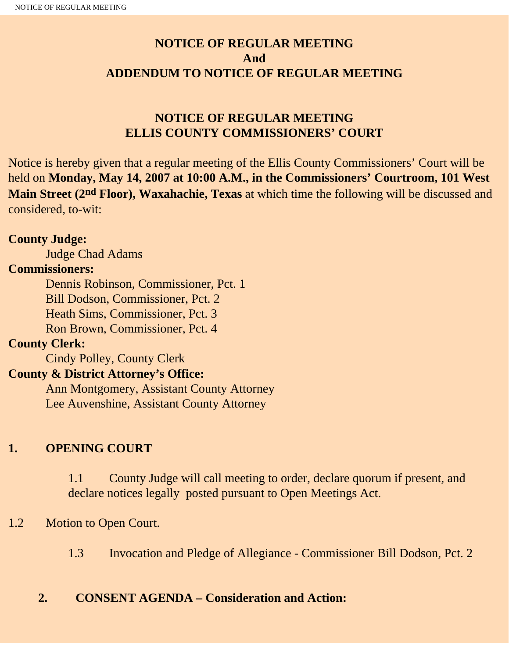# **NOTICE OF REGULAR MEETING And ADDENDUM TO NOTICE OF REGULAR MEETING**

# **NOTICE OF REGULAR MEETING ELLIS COUNTY COMMISSIONERS' COURT**

Notice is hereby given that a regular meeting of the Ellis County Commissioners' Court will be held on **Monday, May 14, 2007 at 10:00 A.M., in the Commissioners' Courtroom, 101 West Main Street (2nd Floor), Waxahachie, Texas** at which time the following will be discussed and considered, to-wit:

#### **County Judge:**

Judge Chad Adams

#### **Commissioners:**

 Dennis Robinson, Commissioner, Pct. 1 Bill Dodson, Commissioner, Pct. 2 Heath Sims, Commissioner, Pct. 3 Ron Brown, Commissioner, Pct. 4

### **County Clerk:**

Cindy Polley, County Clerk

### **County & District Attorney's Office:**

 Ann Montgomery, Assistant County Attorney Lee Auvenshine, Assistant County Attorney

### **1. OPENING COURT**

1.1 County Judge will call meeting to order, declare quorum if present, and declare notices legally posted pursuant to Open Meetings Act.

### 1.2 Motion to Open Court.

1.3 Invocation and Pledge of Allegiance - Commissioner Bill Dodson, Pct. 2

### **2. CONSENT AGENDA – Consideration and Action:**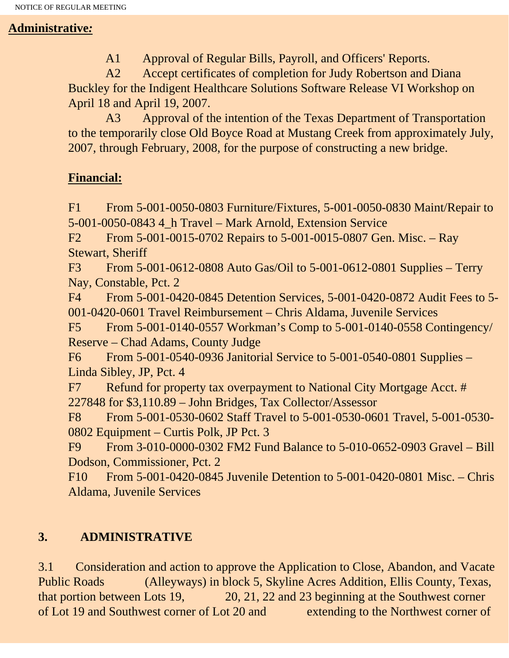## **Administrative***:*

A1 Approval of Regular Bills, Payroll, and Officers' Reports.

 A2 Accept certificates of completion for Judy Robertson and Diana Buckley for the Indigent Healthcare Solutions Software Release VI Workshop on April 18 and April 19, 2007.

 A3 Approval of the intention of the Texas Department of Transportation to the temporarily close Old Boyce Road at Mustang Creek from approximately July, 2007, through February, 2008, for the purpose of constructing a new bridge.

# **Financial:**

F1 From 5-001-0050-0803 Furniture/Fixtures, 5-001-0050-0830 Maint/Repair to 5-001-0050-0843 4\_h Travel – Mark Arnold, Extension Service

F2 From 5-001-0015-0702 Repairs to 5-001-0015-0807 Gen. Misc. – Ray Stewart, Sheriff

F3 From 5-001-0612-0808 Auto Gas/Oil to 5-001-0612-0801 Supplies – Terry Nay, Constable, Pct. 2

F4 From 5-001-0420-0845 Detention Services, 5-001-0420-0872 Audit Fees to 5- 001-0420-0601 Travel Reimbursement – Chris Aldama, Juvenile Services

F5 From 5-001-0140-0557 Workman's Comp to 5-001-0140-0558 Contingency/ Reserve – Chad Adams, County Judge

F6 From 5-001-0540-0936 Janitorial Service to 5-001-0540-0801 Supplies – Linda Sibley, JP, Pct. 4

F7 Refund for property tax overpayment to National City Mortgage Acct. # 227848 for \$3,110.89 – John Bridges, Tax Collector/Assessor

F8 From 5-001-0530-0602 Staff Travel to 5-001-0530-0601 Travel, 5-001-0530- 0802 Equipment – Curtis Polk, JP Pct. 3

F9 From 3-010-0000-0302 FM2 Fund Balance to 5-010-0652-0903 Gravel – Bill Dodson, Commissioner, Pct. 2

F10 From 5-001-0420-0845 Juvenile Detention to 5-001-0420-0801 Misc. – Chris Aldama, Juvenile Services

# **3. ADMINISTRATIVE**

3.1 Consideration and action to approve the Application to Close, Abandon, and Vacate Public Roads (Alleyways) in block 5, Skyline Acres Addition, Ellis County, Texas, that portion between Lots 19, 20, 21, 22 and 23 beginning at the Southwest corner of Lot 19 and Southwest corner of Lot 20 and extending to the Northwest corner of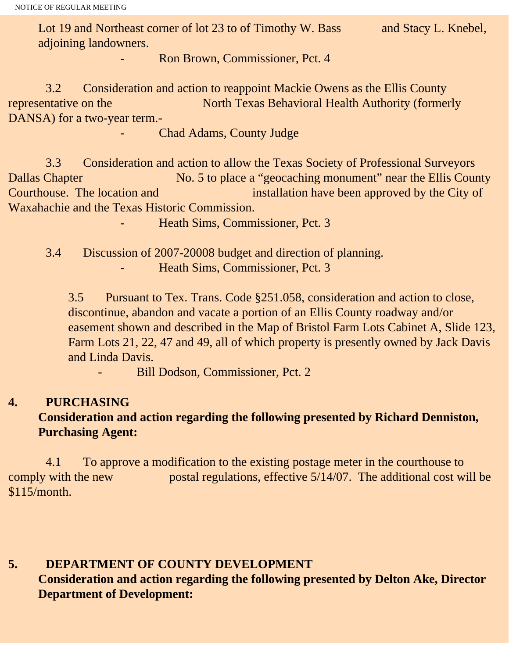Lot 19 and Northeast corner of lot 23 to of Timothy W. Bass and Stacy L. Knebel, adjoining landowners.

Ron Brown, Commissioner, Pct. 4

 3.2 Consideration and action to reappoint Mackie Owens as the Ellis County representative on the North Texas Behavioral Health Authority (formerly DANSA) for a two-year term.-

Chad Adams, County Judge

 3.3 Consideration and action to allow the Texas Society of Professional Surveyors Dallas Chapter No. 5 to place a "geocaching monument" near the Ellis County Courthouse. The location and installation have been approved by the City of Waxahachie and the Texas Historic Commission.

Heath Sims, Commissioner, Pct. 3

 3.4 Discussion of 2007-20008 budget and direction of planning. Heath Sims, Commissioner, Pct. 3

3.5 Pursuant to Tex. Trans. Code §251.058, consideration and action to close, discontinue, abandon and vacate a portion of an Ellis County roadway and/or easement shown and described in the Map of Bristol Farm Lots Cabinet A, Slide 123, Farm Lots 21, 22, 47 and 49, all of which property is presently owned by Jack Davis and Linda Davis.

Bill Dodson, Commissioner, Pct. 2

### **4. PURCHASING**

# **Consideration and action regarding the following presented by Richard Denniston, Purchasing Agent:**

4.1 To approve a modification to the existing postage meter in the courthouse to comply with the new postal regulations, effective 5/14/07. The additional cost will be \$115/month.

### **5. DEPARTMENT OF COUNTY DEVELOPMENT Consideration and action regarding the following presented by Delton Ake, Director Department of Development:**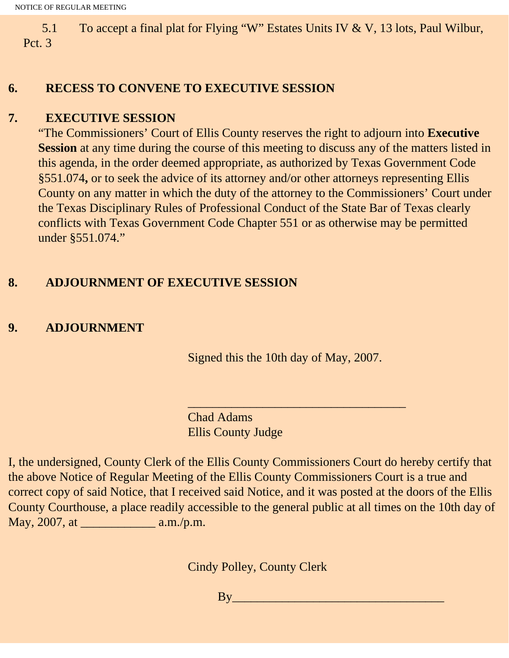5.1 To accept a final plat for Flying "W" Estates Units IV & V, 13 lots, Paul Wilbur, Pct. 3

#### **6. RECESS TO CONVENE TO EXECUTIVE SESSION**

#### **7. EXECUTIVE SESSION**

"The Commissioners' Court of Ellis County reserves the right to adjourn into **Executive Session** at any time during the course of this meeting to discuss any of the matters listed in this agenda, in the order deemed appropriate, as authorized by Texas Government Code §551.074**,** or to seek the advice of its attorney and/or other attorneys representing Ellis County on any matter in which the duty of the attorney to the Commissioners' Court under the Texas Disciplinary Rules of Professional Conduct of the State Bar of Texas clearly conflicts with Texas Government Code Chapter 551 or as otherwise may be permitted under §551.074."

#### **8. ADJOURNMENT OF EXECUTIVE SESSION**

## **9. ADJOURNMENT**

Signed this the 10th day of May, 2007.

 $\overline{\phantom{a}}$  , and the set of the set of the set of the set of the set of the set of the set of the set of the set of the set of the set of the set of the set of the set of the set of the set of the set of the set of the s

Chad Adams Ellis County Judge

I, the undersigned, County Clerk of the Ellis County Commissioners Court do hereby certify that the above Notice of Regular Meeting of the Ellis County Commissioners Court is a true and correct copy of said Notice, that I received said Notice, and it was posted at the doors of the Ellis County Courthouse, a place readily accessible to the general public at all times on the 10th day of May, 2007, at \_\_\_\_\_\_\_\_\_\_\_\_ a.m./p.m.

Cindy Polley, County Clerk

By\_\_\_\_\_\_\_\_\_\_\_\_\_\_\_\_\_\_\_\_\_\_\_\_\_\_\_\_\_\_\_\_\_\_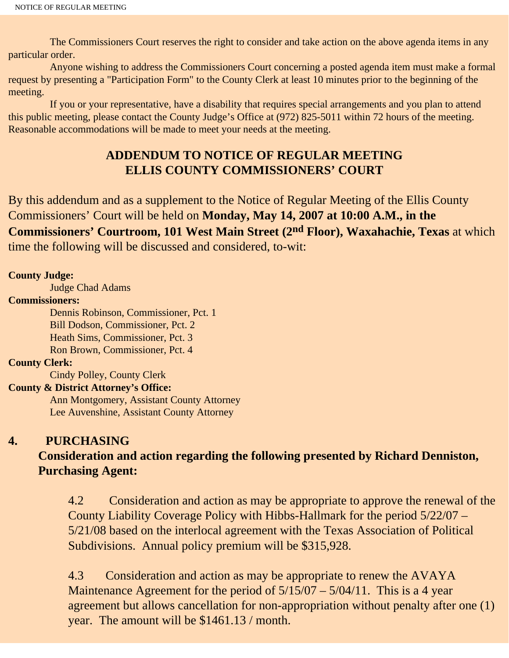The Commissioners Court reserves the right to consider and take action on the above agenda items in any particular order.

 Anyone wishing to address the Commissioners Court concerning a posted agenda item must make a formal request by presenting a "Participation Form" to the County Clerk at least 10 minutes prior to the beginning of the meeting.

 If you or your representative, have a disability that requires special arrangements and you plan to attend this public meeting, please contact the County Judge's Office at (972) 825-5011 within 72 hours of the meeting. Reasonable accommodations will be made to meet your needs at the meeting.

## **ADDENDUM TO NOTICE OF REGULAR MEETING ELLIS COUNTY COMMISSIONERS' COURT**

By this addendum and as a supplement to the Notice of Regular Meeting of the Ellis County Commissioners' Court will be held on **Monday, May 14, 2007 at 10:00 A.M., in the Commissioners' Courtroom, 101 West Main Street (2nd Floor), Waxahachie, Texas** at which time the following will be discussed and considered, to-wit:

#### **County Judge:**

Judge Chad Adams

#### **Commissioners:**

 Dennis Robinson, Commissioner, Pct. 1 Bill Dodson, Commissioner, Pct. 2 Heath Sims, Commissioner, Pct. 3 Ron Brown, Commissioner, Pct. 4

#### **County Clerk:**

Cindy Polley, County Clerk

#### **County & District Attorney's Office:**

 Ann Montgomery, Assistant County Attorney Lee Auvenshine, Assistant County Attorney

#### **4. PURCHASING**

## **Consideration and action regarding the following presented by Richard Denniston, Purchasing Agent:**

4.2 Consideration and action as may be appropriate to approve the renewal of the County Liability Coverage Policy with Hibbs-Hallmark for the period 5/22/07 – 5/21/08 based on the interlocal agreement with the Texas Association of Political Subdivisions. Annual policy premium will be \$315,928.

4.3 Consideration and action as may be appropriate to renew the AVAYA Maintenance Agreement for the period of  $5/15/07 - 5/04/11$ . This is a 4 year agreement but allows cancellation for non-appropriation without penalty after one (1) year. The amount will be \$1461.13 / month.